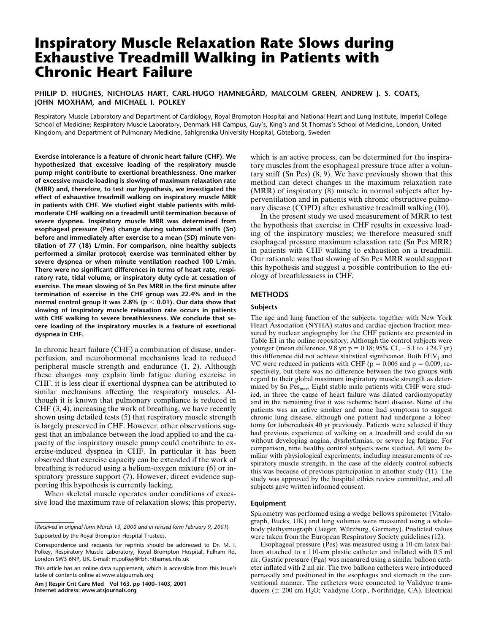# **Inspiratory Muscle Relaxation Rate Slows during Exhaustive Treadmill Walking in Patients with Chronic Heart Failure**

# **PHILIP D. HUGHES, NICHOLAS HART, CARL-HUGO HAMNEGÅRD, MALCOLM GREEN, ANDREW J. S. COATS, JOHN MOXHAM, and MICHAEL I. POLKEY**

Respiratory Muscle Laboratory and Department of Cardiology, Royal Brompton Hospital and National Heart and Lung Institute, Imperial College School of Medicine; Respiratory Muscle Laboratory, Denmark Hill Campus, Guy's, King's and St Thomas's School of Medicine, London, United Kingdom; and Department of Pulmonary Medicine, Sahlgrenska University Hospital, Göteborg, Sweden

**Exercise intolerance is a feature of chronic heart failure (CHF). We hypothesized that excessive loading of the respiratory muscle pump might contribute to exertional breathlessness. One marker of excessive muscle-loading is slowing of maximum relaxation rate (MRR) and, therefore, to test our hypothesis, we investigated the effect of exhaustive treadmill walking on inspiratory muscle MRR in patients with CHF. We studied eight stable patients with mildmoderate CHF walking on a treadmill until termination because of severe dyspnea. Inspiratory muscle MRR was determined from esophageal pressure (Pes) change during submaximal sniffs (Sn) before and immediately after exercise to a mean (SD) minute ventilation of 77 (18) L/min. For comparison, nine healthy subjects performed a similar protocol; exercise was terminated either by severe dyspnea or when minute ventilation reached 100 L/min. There were no significant differences in terms of heart rate, respiratory rate, tidal volume, or inspiratory duty cycle at cessation of exercise. The mean slowing of Sn Pes MRR in the first minute after termination of exercise in the CHF group was 22.4% and in the normal control group it was 2.8% (p** , **0.01). Our data show that slowing of inspiratory muscle relaxation rate occurs in patients with CHF walking to severe breathlessness. We conclude that severe loading of the inspiratory muscles is a feature of exertional dyspnea in CHF.**

In chronic heart failure (CHF) a combination of disuse, underperfusion, and neurohormonal mechanisms lead to reduced peripheral muscle strength and endurance (1, 2). Although these changes may explain limb fatigue during exercise in CHF, it is less clear if exertional dyspnea can be attributed to similar mechanisms affecting the respiratory muscles. Although it is known that pulmonary compliance is reduced in CHF (3, 4), increasing the work of breathing, we have recently shown using detailed tests (5) that respiratory muscle strength is largely preserved in CHF. However, other observations suggest that an imbalance between the load applied to and the capacity of the inspiratory muscle pump could contribute to exercise-induced dyspnea in CHF. In particular it has been observed that exercise capacity can be extended if the work of breathing is reduced using a helium-oxygen mixture (6) or inspiratory pressure support (7). However, direct evidence supporting this hypothesis is currently lacking.

When skeletal muscle operates under conditions of excessive load the maximum rate of relaxation slows; this property,

**Am J Respir Crit Care Med Vol 163. pp 1400–1403, 2001 Internet address: www.atsjournals.org**

which is an active process, can be determined for the inspiratory muscles from the esophageal pressure trace after a voluntary sniff (Sn Pes) (8, 9). We have previously shown that this method can detect changes in the maximum relaxation rate (MRR) of inspiratory (8) muscle in normal subjects after hyperventilation and in patients with chronic obstructive pulmonary disease (COPD) after exhaustive treadmill walking (10).

In the present study we used measurement of MRR to test the hypothesis that exercise in CHF results in excessive loading of the inspiratory muscles; we therefore measured sniff esophageal pressure maximum relaxation rate (Sn Pes MRR) in patients with CHF walking to exhaustion on a treadmill. Our rationale was that slowing of Sn Pes MRR would support this hypothesis and suggest a possible contribution to the etiology of breathlessness in CHF.

## **METHODS**

## **Subjects**

The age and lung function of the subjects, together with New York Heart Association (NYHA) status and cardiac ejection fraction measured by nuclear angiography for the CHF patients are presented in Table E1 in the online repository. Although the control subjects were younger (mean difference, 9.8 yr;  $p = 0.18$ ; 95% CI,  $-5.1$  to  $+24.7$  yr) this difference did not achieve statistical significance. Both  $FEV<sub>1</sub>$  and VC were reduced in patients with CHF ( $p = 0.006$  and  $p = 0.009$ , respectively, but there was no difference between the two groups with regard to their global maximum inspiratory muscle strength as determined by Sn  $\text{Pes}_{\text{max}}$ . Eight stable male patients with CHF were studied, in three the cause of heart failure was dilated cardiomyopathy and in the remaining five it was ischemic heart disease. None of the patients was an active smoker and none had symptoms to suggest chronic lung disease, although one patient had undergone a lobectomy for tuberculosis 40 yr previously. Patients were selected if they had previous experience of walking on a treadmill and could do so without developing angina, dysrhythmias, or severe leg fatigue. For comparison, nine healthy control subjects were studied. All were familiar with physiological experiments, including measurements of respiratory muscle strength; in the case of the elderly control subjects this was because of previous participation in another study (11). The study was approved by the hospital ethics review committee, and all subjects gave written informed consent.

### **Equipment**

Spirometry was performed using a wedge bellows spirometer (Vitalograph, Bucks, UK) and lung volumes were measured using a wholebody plethysmograph (Jaeger, Würzburg, Germany). Predicted values were taken from the European Respiratory Society guidelines (12).

Esophageal pressure (Pes) was measured using a 10-cm latex balloon attached to a 110-cm plastic catheter and inflated with 0.5 ml air. Gastric pressure (Pga) was measured using a similar balloon catheter inflated with 2 ml air. The two balloon catheters were introduced pernasally and positioned in the esophagus and stomach in the conventional manner. The catheters were connected to Validyne transducers ( $\pm$  200 cm H<sub>2</sub>O; Validyne Corp., Northridge, CA). Electrical

<sup>(</sup>*Received in original form March 13, 2000 and in revised form February 9, 2001*) Supported by the Royal Brompton Hospital Trustees.

Correspondence and requests for reprints should be addressed to Dr. M. I. Polkey, Respiratory Muscle Laboratory, Royal Brompton Hospital, Fulham Rd, London SW3 6NP, UK. E-mail: m.polkey@rbh.nthames.nhs.uk

This article has an online data supplement, which is accessible from this issue's table of contents online at www.atsjournals.org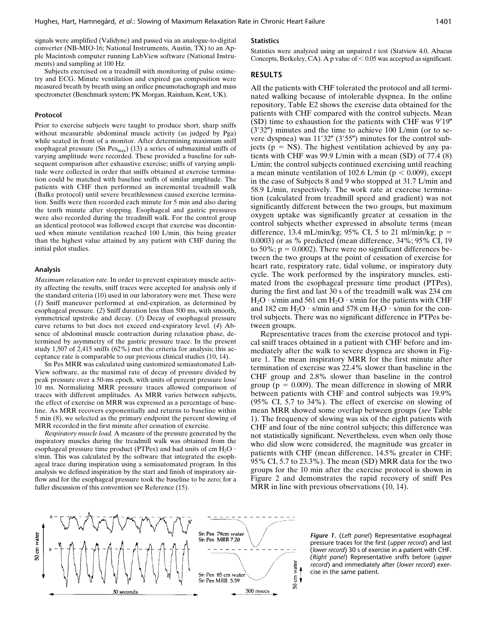signals were amplified (Validyne) and passed via an analogue-to-digital converter (NB-MIO-16; National Instruments, Austin, TX) to an Apple Macintosh computer running LabView software (National Instruments) and sampling at 100 Hz.

Subjects exercised on a treadmill with monitoring of pulse oximetry and ECG. Minute ventilation and expired gas composition were measured breath by breath using an orifice pneumotachograph and mass spectrometer (Benchmark system; PK Morgan, Rainham, Kent, UK).

#### **Protocol**

Prior to exercise subjects were taught to produce short, sharp sniffs without measurable abdominal muscle activity (as judged by Pga) while seated in front of a monitor. After determining maximum sniff esophageal pressure (Sn  $\text{Pes}_{\text{max}}$ ) (13) a series of submaximal sniffs of varying amplitude were recorded. These provided a baseline for subsequent comparison after exhaustive exercise; sniffs of varying amplitude were collected in order that sniffs obtained at exercise termination could be matched with baseline sniffs of similar amplitude. The patients with CHF then performed an incremental treadmill walk (Balke protocol) until severe breathlessness caused exercise termination. Sniffs were then recorded each minute for 5 min and also during the tenth minute after stopping. Esophageal and gastric pressures were also recorded during the treadmill walk. For the control group an identical protocol was followed except that exercise was discontinued when minute ventilation reached 100 L/min, this being greater than the highest value attained by any patient with CHF during the initial pilot studies.

#### **Analysis**

*Maximum relaxation rate.* In order to prevent expiratory muscle activity affecting the results, sniff traces were accepted for analysis only if the standard criteria (10) used in our laboratory were met. These were (*1*) Sniff maneuver performed at end-expiration, as determined by esophageal pressure. (*2*) Sniff duration less than 500 ms, with smooth, symmetrical upstroke and decay. (*3*) Decay of esophageal pressure curve returns to but does not exceed end-expiratory level. (*4*) Absence of abdominal muscle contraction during relaxation phase, determined by asymmetry of the gastric pressure trace. In the present study 1,507 of 2,415 sniffs (62%) met the criteria for analysis; this acceptance rate is comparable to our previous clinical studies (10, 14).

Sn Pes MRR was calculated using customized semiautomated Lab-View software, as the maximal rate of decay of pressure divided by peak pressure over a 50-ms epoch, with units of percent pressure loss/ 10 ms. Normalizing MRR pressure traces allowed comparison of traces with different amplitudes. As MRR varies between subjects, the effect of exercise on MRR was expressed as a percentage of baseline. As MRR recovers exponentially and returns to baseline within 5 min (8), we selected as the primary endpoint the percent slowing of MRR recorded in the first minute after cessation of exercise.

*Respiratory muscle load.* A measure of the pressure generated by the inspiratory muscles during the treadmill walk was obtained from the esophageal pressure time product (PTPes) and had units of cm  $H_2O$ . s/min. This was calculated by the software that integrated the esophageal trace during inspiration using a semiautomated program. In this analysis we defined inspiration by the start and finish of inspiratory airflow and for the esophageal pressure took the baseline to be zero; for a fuller discussion of this convention see Reference (15).

## **Statistics**

Statistics were analyzed using an unpaired *t* test (Statview 4.0, Abacus Concepts, Berkeley, CA). A p value of  $< 0.05$  was accepted as significant.

## **RESULTS**

All the patients with CHF tolerated the protocol and all terminated walking because of intolerable dyspnea. In the online repository, Table E2 shows the exercise data obtained for the patients with CHF compared with the control subjects. Mean  $(SD)$  time to exhaustion for the patients with CHF was  $9'19''$  $(3'32'')$  minutes and the time to achieve 100 L/min (or to severe dyspnea) was  $11'32''$  (3'55") minutes for the control subjects ( $p = NS$ ). The highest ventilation achieved by any patients with CHF was 99.9 L/min with a mean (SD) of 77.4 (8) L/min; the control subjects continued exercising until reaching a mean minute ventilation of 102.6 L/min ( $p < 0.009$ ), except in the case of Subjects 8 and 9 who stopped at 31.7 L/min and 58.9 L/min, respectively. The work rate at exercise termination (calculated from treadmill speed and gradient) was not significantly different between the two groups, but maximum oxygen uptake was significantly greater at cessation in the control subjects whether expressed in absolute terms (mean difference, 13.4 mL/min/kg; 95% CI, 5 to 21 ml/min/kg;  $p =$ 0.0003) or as % predicted (mean difference, 34%; 95% CI, 19 to 50%;  $p = 0.0002$ ). There were no significant differences between the two groups at the point of cessation of exercise for heart rate, respiratory rate, tidal volume, or inspiratory duty cycle. The work performed by the inspiratory muscles, estimated from the esophageal pressure time product (PTPes), during the first and last 30 s of the treadmill walk was 234 cm  $H_2O \cdot s/m$ in and 561 cm  $H_2O \cdot s/m$ in for the patients with CHF and 182 cm  $H_2O \cdot s/min$  and 578 cm  $H_2O \cdot s/min$  for the control subjects. There was no significant difference in PTPes between groups.

Representative traces from the exercise protocol and typical sniff traces obtained in a patient with CHF before and immediately after the walk to severe dyspnea are shown in Figure 1. The mean inspiratory MRR for the first minute after termination of exercise was 22.4% slower than baseline in the CHF group and 2.8% slower than baseline in the control group ( $p = 0.009$ ). The mean difference in slowing of MRR between patients with CHF and control subjects was 19.9% (95% CI, 5.7 to 34%). The effect of exercise on slowing of mean MRR showed some overlap between groups (*see* Table 1). The frequency of slowing was six of the eight patients with CHF and four of the nine control subjects; this difference was not statistically significant. Nevertheless, even when only those who did slow were considered, the magnitude was greater in patients with CHF (mean difference, 14.5% greater in CHF; 95% CI, 5.7 to 23.3%). The mean (SD) MRR data for the two groups for the 10 min after the exercise protocol is shown in Figure 2 and demonstrates the rapid recovery of sniff Pes MRR in line with previous observations  $(10, 14)$ .



*Figure 1.* (*Left panel*) Representative esophageal pressure traces for the first (*upper record*) and last (*lower record*) 30 s of exercise in a patient with CHF. (*Right panel*) Representative sniffs before (*upper record*) and immediately after (*lower record*) exercise in the same patient.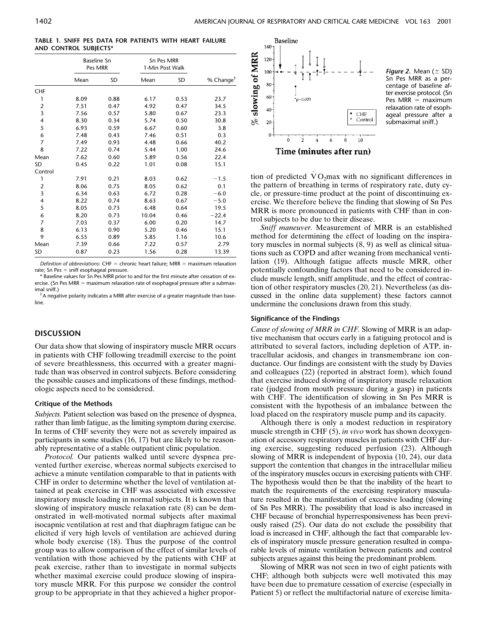**TABLE 1. SNIFF PES DATA FOR PATIENTS WITH HEART FAILURE AND CONTROL SUBJECTS\***

|                | <b>Baseline Sn</b><br>Pes MRR |      | Sn Pes MRR<br>1-Min Post Walk |      |                       |
|----------------|-------------------------------|------|-------------------------------|------|-----------------------|
|                | Mean                          | SD   | Mean                          | SD   | % Change <sup>†</sup> |
| <b>CHF</b>     |                               |      |                               |      |                       |
| 1              | 8.09                          | 0.88 | 6.17                          | 0.53 | 23.7                  |
| $\overline{2}$ | 7.51                          | 0.47 | 4.92                          | 0.47 | 34.5                  |
| 3              | 7.56                          | 0.57 | 5.80                          | 0.67 | 23.3                  |
| 4              | 8.30                          | 0.34 | 5.74                          | 0.50 | 30.8                  |
| 5              | 6.93                          | 0.59 | 6.67                          | 0.60 | 3.8                   |
| 6              | 7.48                          | 0.43 | 7.46                          | 0.51 | 0.3                   |
| 7              | 7.49                          | 0.93 | 4.48                          | 0.66 | 40.2                  |
| 8              | 7.22                          | 0.74 | 5.44                          | 1.00 | 24.6                  |
| Mean           | 7.62                          | 0.60 | 5.89                          | 0.56 | 22.4                  |
| SD             | 0.45                          | 0.22 | 1.01                          | 0.08 | 15.1                  |
| Control        |                               |      |                               |      |                       |
| 1              | 7.91                          | 0.21 | 8.03                          | 0.62 | $-1.5$                |
| $\overline{2}$ | 8.06                          | 0.75 | 8.05                          | 0.62 | 0.1                   |
| 3              | 6.34                          | 0.63 | 6.72                          | 0.28 | $-6.0$                |
| 4              | 8.22                          | 0.74 | 8.63                          | 0.67 | $-5.0$                |
| 5              | 8.05                          | 0.73 | 6.48                          | 0.64 | 19.5                  |
| 6              | 8.20                          | 0.73 | 10.04                         | 0.46 | $-22.4$               |
| 7              | 7.03                          | 0.37 | 6.00                          | 0.20 | 14.7                  |
| 8              | 6.13                          | 0.90 | 5.20                          | 0.46 | 15.1                  |
| 9              | 6.55                          | 0.89 | 5.85                          | 1.16 | 10.6                  |
| Mean           | 7.39                          | 0.66 | 7.22                          | 0.57 | 2.79                  |
| SD             | 0.87                          | 0.23 | 1.56                          | 0.28 | 13.39                 |

*Definition of abbreviations*: CHF = chronic heart failure; MRR = maximum relaxation rate; Sn Pes  $=$  sniff esophageal pressure.

Baseline values for Sn Pes MRR prior to and for the first minute after cessation of exercise. (Sn Pes MRR  $=$  maximum relaxation rate of esophageal pressure after a submaximal sniff.)

† A negative polarity indicates a MRR after exercise of a greater magnitude than baseline.

# **DISCUSSION**

Our data show that slowing of inspiratory muscle MRR occurs in patients with CHF following treadmill exercise to the point of severe breathlessness, this occurred with a greater magnitude than was observed in control subjects. Before considering the possible causes and implications of these findings, methodologic aspects need to be considered.

#### **Critique of the Methods**

*Subjects.* Patient selection was based on the presence of dyspnea, rather than limb fatigue, as the limiting symptom during exercise. In terms of CHF severity they were not as severely impaired as participants in some studies (16, 17) but are likely to be reasonably representative of a stable outpatient clinic population.

*Protocol.* Our patients walked until severe dyspnea prevented further exercise, whereas normal subjects exercised to achieve a minute ventilation comparable to that in patients with CHF in order to determine whether the level of ventilation attained at peak exercise in CHF was associated with excessive inspiratory muscle loading in normal subjects. It is known that slowing of inspiratory muscle relaxation rate (8) can be demonstrated in well-motivated normal subjects after maximal isocapnic ventilation at rest and that diaphragm fatigue can be elicited if very high levels of ventilation are achieved during whole body exercise (18). Thus the purpose of the control group was to allow comparison of the effect of similar levels of ventilation with those achieved by the patients with CHF at peak exercise, rather than to investigate in normal subjects whether maximal exercise could produce slowing of inspiratory muscle MRR. For this purpose we consider the control group to be appropriate in that they achieved a higher propor-



*Figure 2.* Mean  $(\pm$  SD) Sn Pes MRR as a percentage of baseline after exercise protocol. (Sn Pes  $MRR =$  maximum relaxation rate of esophageal pressure after a submaximal sniff.)

tion of predicted  $\dot{V}O_2$ max with no significant differences in the pattern of breathing in terms of respiratory rate, duty cycle, or pressure-time product at the point of discontinuing exercise. We therefore believe the finding that slowing of Sn Pes MRR is more pronounced in patients with CHF than in control subjects to be due to their disease.

*Sniff maneuver.* Measurement of MRR is an established method for determining the effect of loading on the inspiratory muscles in normal subjects (8, 9) as well as clinical situations such as COPD and after weaning from mechanical ventilation (19). Although fatigue affects muscle MRR, other potentially confounding factors that need to be considered include muscle length, sniff amplitude, and the effect of contraction of other respiratory muscles (20, 21). Nevertheless (as discussed in the online data supplement) these factors cannot undermine the conclusions drawn from this study.

#### **Significance of the Findings**

*Cause of slowing of MRR in CHF.* Slowing of MRR is an adaptive mechanism that occurs early in a fatiguing protocol and is attributed to several factors, including depletion of ATP, intracellular acidosis, and changes in transmembrane ion conductance. Our findings are consistent with the study by Davies and colleagues (22) (reported in abstract form), which found that exercise induced slowing of inspiratory muscle relaxation rate (judged from mouth pressure during a gasp) in patients with CHF. The identification of slowing in Sn Pes MRR is consistent with the hypothesis of an imbalance between the load placed on the respiratory muscle pump and its capacity.

Although there is only a modest reduction in respiratory muscle strength in CHF (5), *in vivo* work has shown deoxygenation of accessory respiratory muscles in patients with CHF during exercise, suggesting reduced perfusion (23). Although slowing of MRR is independent of hypoxia (10, 24), our data support the contention that changes in the intracellular milieu of the inspiratory muscles occurs in exercising patients with CHF. The hypothesis would then be that the inability of the heart to match the requirements of the exercising respiratory musculature resulted in the manifestation of excessive loading (slowing of Sn Pes MRR). The possibility that load is also increased in CHF because of bronchial hyperresponsiveness has been previously raised (25). Our data do not exclude the possibility that load is increased in CHF, although the fact that comparable levels of inspiratory muscle pressure generation resulted in comparable levels of minute ventilation between patients and control subjects argues against this being the predominant problem.

Slowing of MRR was not seen in two of eight patients with CHF; although both subjects were well motivated this may have been due to premature cessation of exercise (especially in Patient 5) or reflect the multifactorial nature of exercise limita